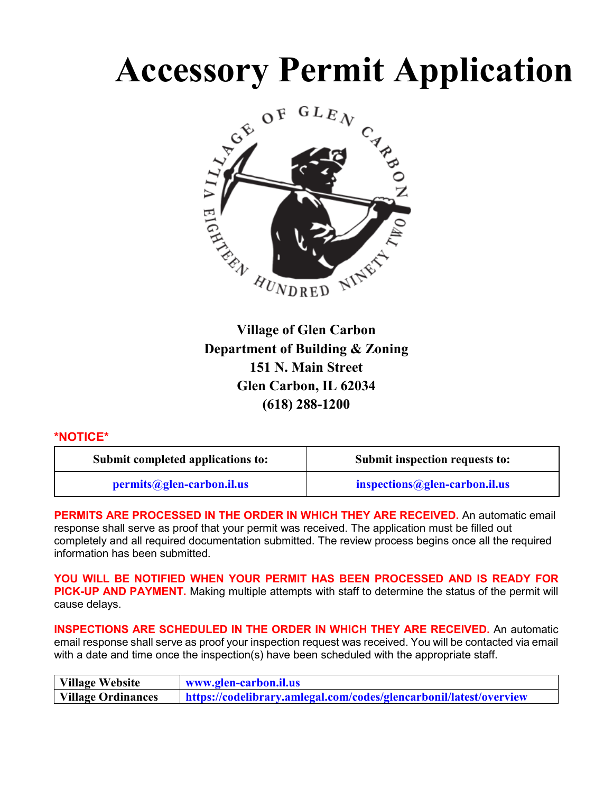

**Village of Glen Carbon Department of Building & Zoning 151 N. Main Street Glen Carbon, IL 62034 (618) 288-1200**

# **\*NOTICE\***

| Submit completed applications to: | Submit inspection requests to: |
|-----------------------------------|--------------------------------|
| permits@glen-carbon.il.us         | $inspections@glen-carbon.$     |

**PERMITS ARE PROCESSED IN THE ORDER IN WHICH THEY ARE RECEIVED.** An automatic email response shall serve as proof that your permit was received. The application must be filled out completely and all required documentation submitted. The review process begins once all the required information has been submitted.

**YOU WILL BE NOTIFIED WHEN YOUR PERMIT HAS BEEN PROCESSED AND IS READY FOR PICK-UP AND PAYMENT.** Making multiple attempts with staff to determine the status of the permit will cause delays.

**INSPECTIONS ARE SCHEDULED IN THE ORDER IN WHICH THEY ARE RECEIVED.** An automatic email response shall serve as proof your inspection request was received. You will be contacted via email with a date and time once the inspection(s) have been scheduled with the appropriate staff.

| Village Website    | www.glen-carbon.il.us                                              |
|--------------------|--------------------------------------------------------------------|
| Village Ordinances | https://codelibrary.amlegal.com/codes/glencarbonil/latest/overview |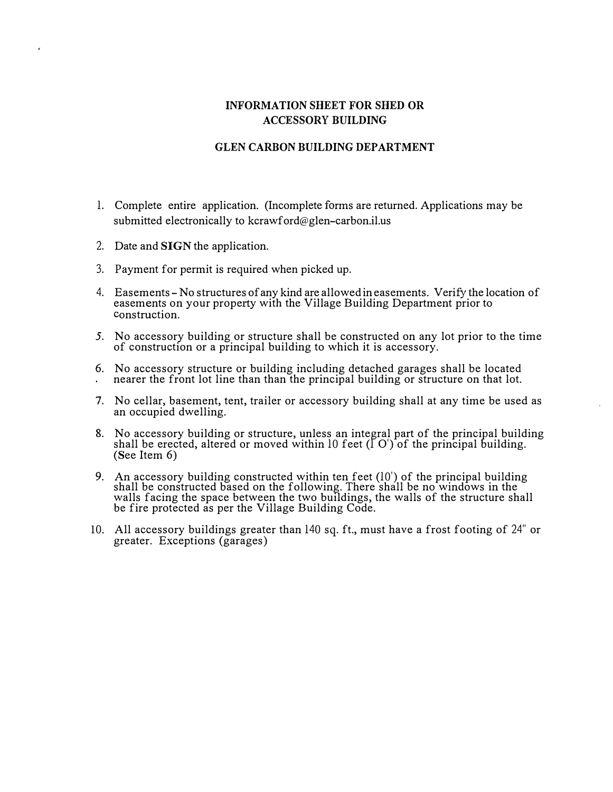# **INFORMATION SHEET FOR SHED OR ACCESSORY BUILDING**

#### **GLEN CARBON BUILDING DEPARTMENT**

- 1. Complete entire application. (Incomplete forms are returned. Applications may be submitted electronically to kcrawford@glen-carbon.il.us
- 2. Date and SIGN the application.
- 3. Payment for permit is required when picked up.
- 4. Easements No structures of any kind are allowed in easements. Verify the location of easements on your property with the Village Building Department prior to construction.
- 5. No accessory building or structure shall be constructed on any lot prior to the time of construction or a principal building to which it is accessory.
- 6. No accessory structure or building including detached garages shall be located nearer the front lot line than than the principal building or structure on that lot.
- 7. No cellar, basement, tent, trailer or accessory building shall at any time be used as an occupied dwelling.
- 8. No accessory building or structure, unless an integral part of the principal building shall be erected, altered or moved within 10 feet (1 O') of the principal building. (See Item 6)
- 9. An accessory building constructed within ten feet (10') of the principal building shall be constructed based on the following. There shall be no windows in the walls facing the space between the two buildings, the walls of the structure shall while racing the space between the two bandings,<br>be fire protected as per the Village Building Code.
- 10. All accessory buildings greater than 140 sq. ft., must have a frost footing of 24" or greater. Exceptions (garages)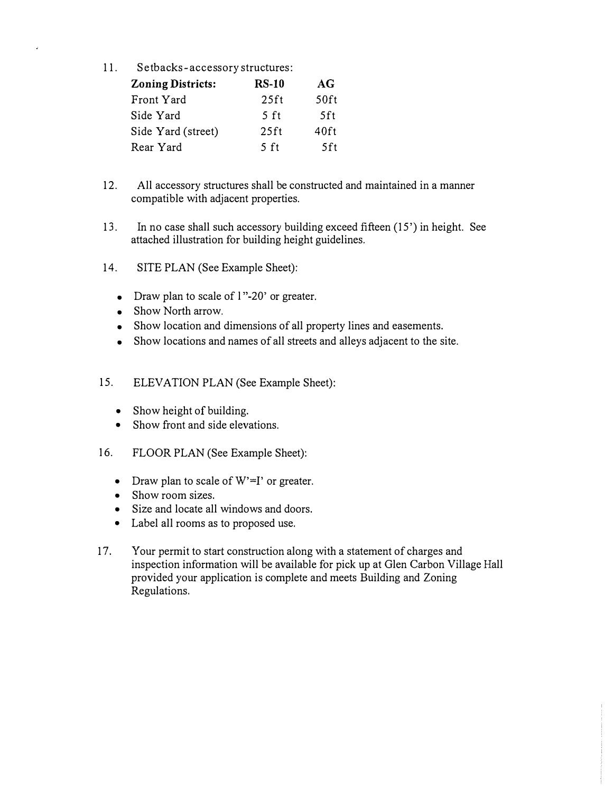11. Setbacks- accessory structures:

| <b>Zoning Districts:</b> | <b>RS-10</b>   | AG   |
|--------------------------|----------------|------|
| Front Yard               | $25$ ft        | 50ft |
| Side Yard                | 5 ft           | 5ft  |
| Side Yard (street)       | $25$ ft        | 40ft |
| Rear Yard                | $5 \text{ ft}$ | .5ft |

- 12. All accessory structures shall be constructed and maintained in a manner compatible with adjacent properties.
- 13. In no case shall such accessory building exceed fifteen (15') in height. See attached illustration for building height guidelines.
- 14. SITE PLAN (See Example Sheet):
	- Draw plan to scale of 1"-20' or greater.
	- Show North arrow.
	- Show location and dimensions of all property lines and easements.
	- Show locations and names of all streets and alleys adjacent to the site.
- 15. ELEVATION PLAN (See Example Sheet):
	- Show height of building.
	- Show front and side elevations.
- 16. FLOOR PLAN (See Example Sheet):
	- Draw plan to scale of  $W'=I'$  or greater.
	- Show room sizes.
	- Size and locate all windows and doors.
	- Label all rooms as to proposed use.
- 17. Your permit to start construction along with a statement of charges and inspection information will be available for pick up at Glen Carbon Village Hall provided your application is complete and meets Building and Zoning Regulations.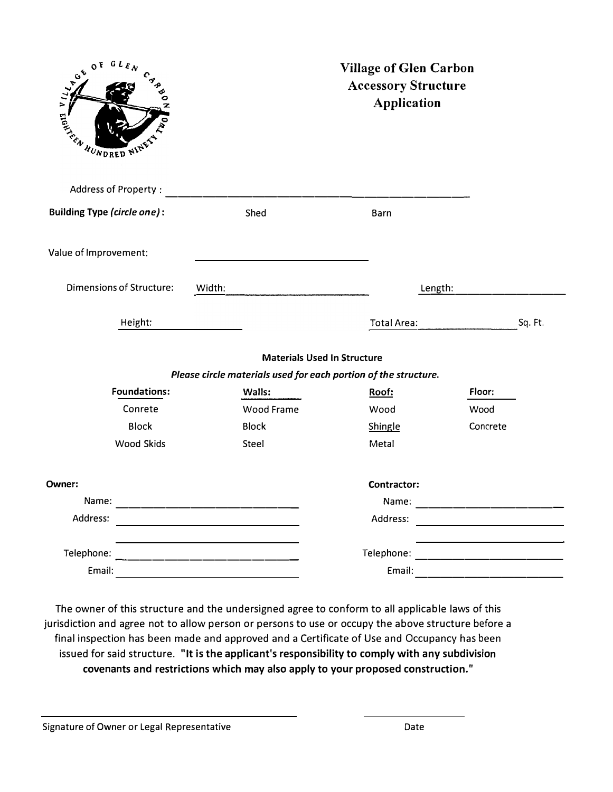| $GL_{E, N}$<br>0 <sup>F</sup><br>VILLAGE<br>$c_{\sigma_{\phi}}$<br>EN WUNDRED NINES IN |                                                                 | <b>Village of Glen Carbon</b><br><b>Accessory Structure</b><br><b>Application</b> |          |
|----------------------------------------------------------------------------------------|-----------------------------------------------------------------|-----------------------------------------------------------------------------------|----------|
| Address of Property:                                                                   |                                                                 |                                                                                   |          |
| <b>Building Type (circle one):</b>                                                     | Shed                                                            | Barn                                                                              |          |
| Value of Improvement:                                                                  |                                                                 |                                                                                   |          |
| <b>Dimensions of Structure:</b>                                                        | Width:                                                          | Length:                                                                           |          |
| Height:                                                                                |                                                                 | <b>Total Area:</b>                                                                | Sq. Ft.  |
|                                                                                        | <b>Materials Used In Structure</b>                              |                                                                                   |          |
|                                                                                        | Please circle materials used for each portion of the structure. |                                                                                   |          |
| <b>Foundations:</b>                                                                    | Walls:                                                          | Roof:                                                                             | Floor:   |
| Conrete                                                                                | <b>Wood Frame</b>                                               | Wood                                                                              | Wood     |
| <b>Block</b>                                                                           | <b>Block</b>                                                    | Shingle                                                                           | Concrete |
| <b>Wood Skids</b>                                                                      | Steel                                                           | Metal                                                                             |          |
| Owner:                                                                                 |                                                                 | Contractor:                                                                       |          |
| Name:                                                                                  |                                                                 | Name:                                                                             |          |
| Address:                                                                               |                                                                 | Address:                                                                          |          |
| Telephone:                                                                             |                                                                 | Telephone:                                                                        |          |
| Email:                                                                                 |                                                                 | Email:                                                                            |          |

The owner of this structure and the undersigned agree to conform to all applicable laws of this jurisdiction and agree not to allow person or persons to use or occupy the above structure before a final inspection has been made and approved and a Certificate of Use and Occupancy has been issued for said structure. **"It is the applicant's responsibility to comply with any subdivision covenants and restrictions which may also apply to your proposed construction."** 

Signature of Owner or Legal Representative Date Date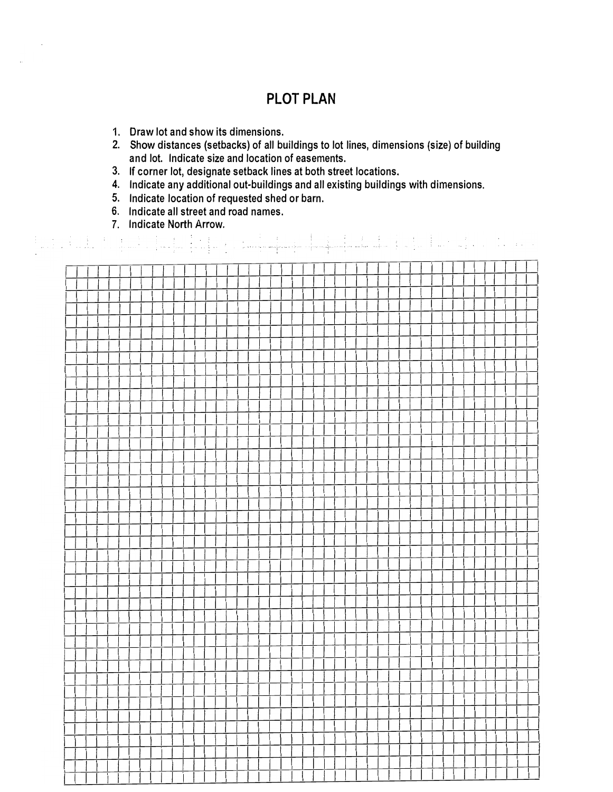# **PLOT PLAN**

- 1. Draw lot and show its dimensions.
- 2. Show distances (setbacks) of all buildings to lot lines, dimensions (size) of building and lot. Indicate size and location of easements.
- 3. If corner lot, designate setback lines at both street locations.
- 4. Indicate any additional out-buildings and all existing buildings with dimensions.
- 5. Indicate location of requested shed or barn.
- 6. Indicate all street and road names.
- 7. Indicate North Arrow.

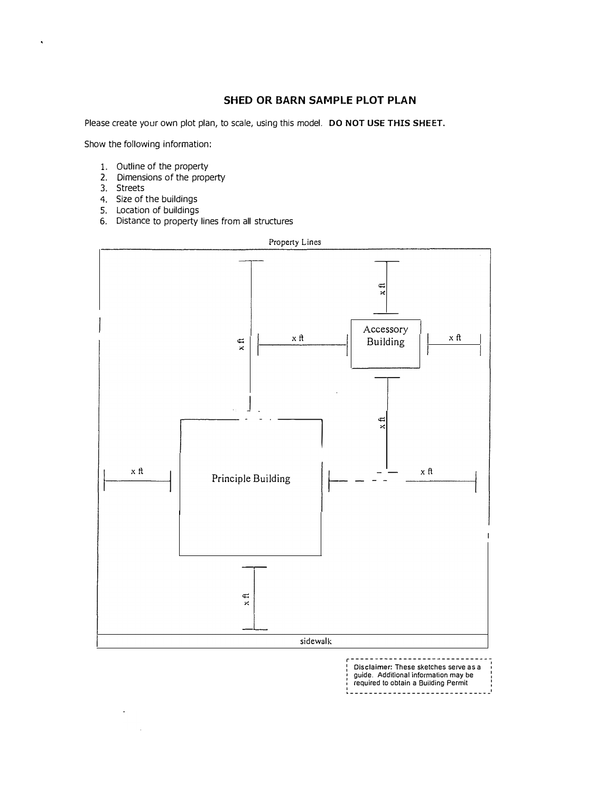# **SHED OR BARN SAMPLE PLOT PLAN**

Please create your own plot plan, to scale, using this model. **DO NOT USE THIS SHEET.**

Show the following information:

- 1. Outline of the property
- 2. Dimensions of the property
- 3. Streets
- 4. Size of the buildings
- 5. Location of buildings
- 6. Distance to property lines from all structures



r------------------------------ : Disclaimer: These sketches serve as a : 1 guide. Additional information may be : intervals of the state of the state of the state of the state of the state of the state of the state of the state of the state of the state of the state of the state of the state of | required to obtain a Building Permit<br>|-----------------------------<sup>|</sup>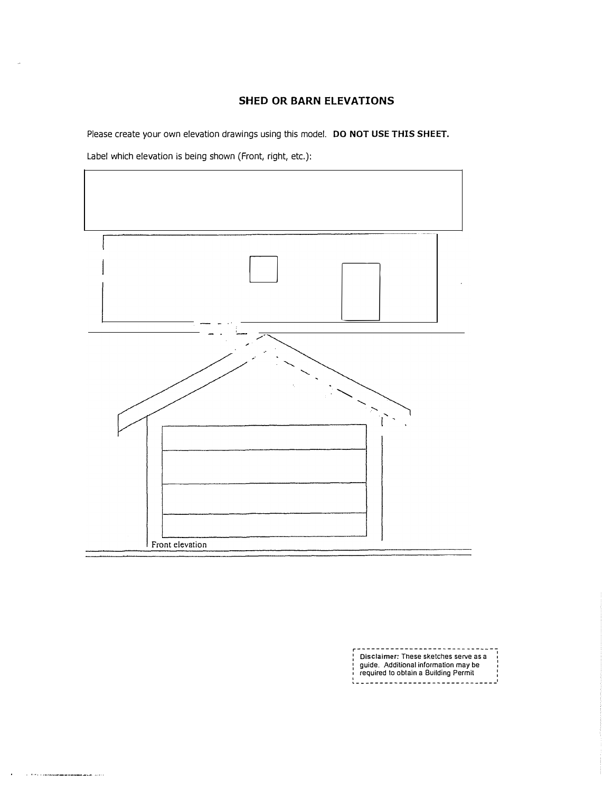### **SHED OR BARN ELEVATIONS**

Please create your own elevation drawings using this model. **DO NOT USE THIS SHEET.**

Label which elevation is being shown (Front, right, etc.):

 $\mathcal{C}^{(1)}$  . The corresponding to the component of the corresponding to the corresponding to the corresponding to the corresponding to the corresponding to the corresponding to the corresponding to the corresponding to

 $\ddot{\phantom{a}}$ 



**r------------------------------**<br>| Disclaimer: These sketches serve as a 1916 - Additional information may be required to obtain a Building Permit �------------------------------·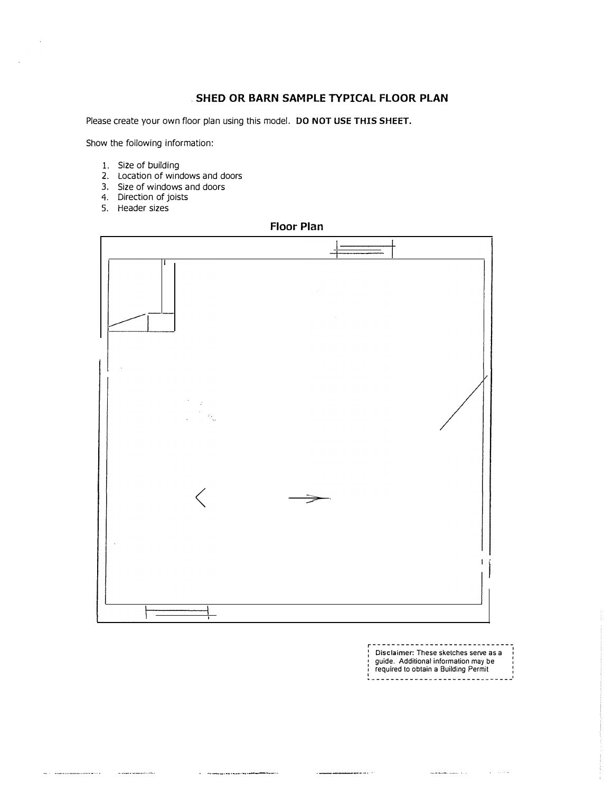#### . **SHED OR BARN SAMPLE TYPICAL FLOOR PLAN**

Please create your own floor plan using this model. **DO NOT USE THIS SHEET.**

Show the following information:

- 1. Size of building
- 2. Location of windows and doors
- 3. Size of windows and doors
- 4. Direction of joists
- 5. Header sizes

 $\label{eq:3.1} \begin{minipage}{0.9\linewidth} \begin{minipage}{0.9\linewidth} \begin{minipage}{0.9\linewidth} \begin{minipage}{0.9\linewidth} \begin{minipage}{0.9\linewidth} \end{minipage} \begin{minipage}{0.9\linewidth} \begin{minipage}{0.9\linewidth} \begin{minipage}{0.9\linewidth} \end{minipage} \begin{minipage}{0.9\linewidth} \begin{minipage}{0.9\linewidth} \end{minipage} \begin{minipage}{0.9\linewidth} \begin{minipage}{0.9\linewidth} \end{minipage} \begin{minipage}{0.9\linewidth} \begin{minipage}{0.9\linewidth} \$ 

#### **Floor Plan**



 $\label{eq:3} \begin{minipage}{0.9\linewidth} \begin{minipage}{0.9\linewidth} \begin{minipage}{0.9\linewidth} \begin{minipage}{0.9\linewidth} \end{minipage} \begin{minipage}{0.9\linewidth} \begin{minipage}{0.9\linewidth} \end{minipage} \begin{minipage}{0.9\linewidth} \begin{minipage}{0.9\linewidth} \end{minipage} \begin{minipage}{0.9\linewidth} \begin{minipage}{0.9\linewidth} \end{minipage} \begin{minipage}{0.9\linewidth} \end{minipage} \begin{minipage}{0.9\linewidth} \end{minipage} \begin{minipage}{0.9\linewidth} \begin$ 

 $\hat{f}$  , which is a construction of the set of  $\hat{f}$  ,  $\hat{f}$  ,  $\hat{f}$ 

**r------------------------------** Disclaimer: These sketches serve as a guide. Additional information may be required to obtain a Building Permit �------------------------------·

 $\label{eq:3} \begin{split} \mathbf{r} & \mathbf{r} = \mathbf{b} \left( \mathbf{b} \right) + \mathbf{c} \left( \mathbf{b} \right) + \mathbf{c} \left( \mathbf{c} \right) + \mathbf{c} \left( \mathbf{c} \right) + \mathbf{c} \left( \mathbf{c} \right) \right) \end{split}$ 

المستدعين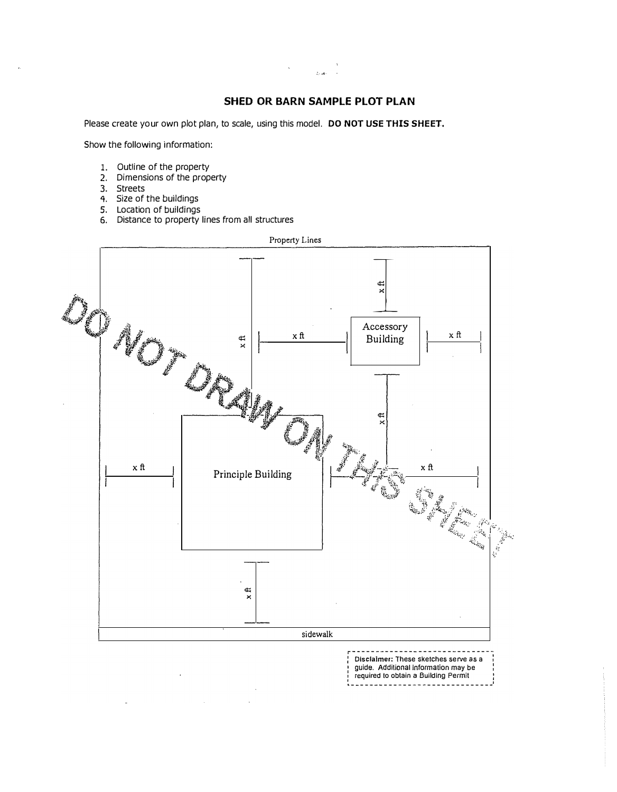#### **SHED OR BARN SAMPLE PLOT PLAN**

Please create your own plot plan, to scale, using this model. **DO NOT USE THIS SHEET.**

Show the following information:

- 1. Outline of the property
- 2. Dimensions of the property
- 3. Streets
- 4. Size of the buildings
- 5. Location of buildings
- 6. Distance to property lines from all structures



guide. Additional information may be , required to obtain a Building Permit �-----------------------------�